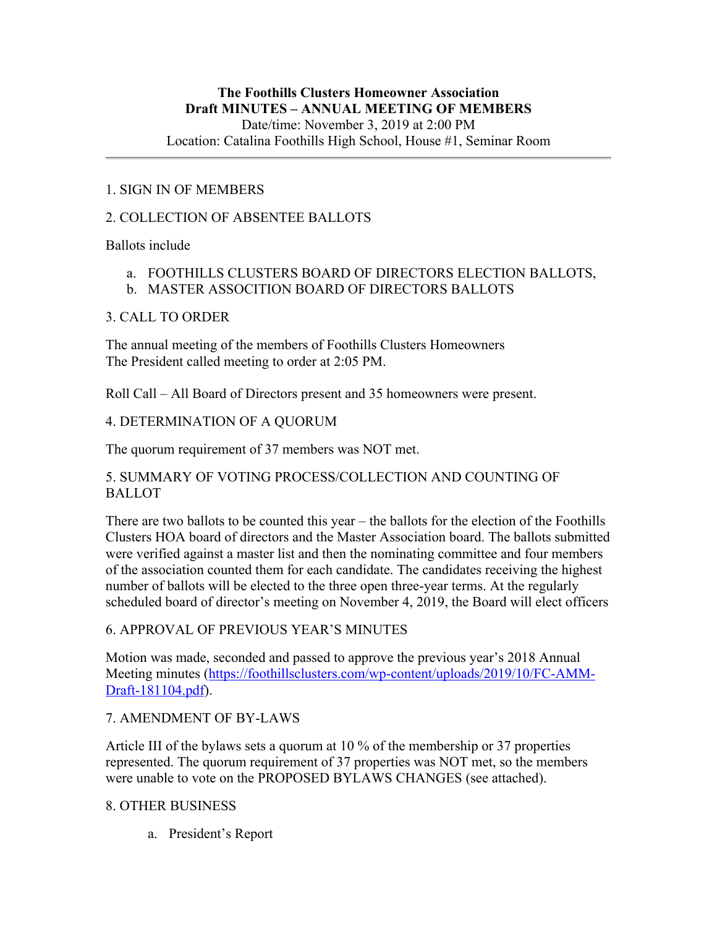# 1. SIGN IN OF MEMBERS

# 2. COLLECTION OF ABSENTEE BALLOTS

Ballots include

- a. FOOTHILLS CLUSTERS BOARD OF DIRECTORS ELECTION BALLOTS,
- b. MASTER ASSOCITION BOARD OF DIRECTORS BALLOTS

# 3. CALL TO ORDER

The annual meeting of the members of Foothills Clusters Homeowners The President called meeting to order at 2:05 PM.

Roll Call – All Board of Directors present and 35 homeowners were present.

# 4. DETERMINATION OF A QUORUM

The quorum requirement of 37 members was NOT met.

# 5. SUMMARY OF VOTING PROCESS/COLLECTION AND COUNTING OF BALLOT

There are two ballots to be counted this year – the ballots for the election of the Foothills Clusters HOA board of directors and the Master Association board. The ballots submitted were verified against a master list and then the nominating committee and four members of the association counted them for each candidate. The candidates receiving the highest number of ballots will be elected to the three open three-year terms. At the regularly scheduled board of director's meeting on November 4, 2019, the Board will elect officers

# 6. APPROVAL OF PREVIOUS YEAR'S MINUTES

Motion was made, seconded and passed to approve the previous year's 2018 Annual Meeting minutes (https://foothillsclusters.com/wp-content/uploads/2019/10/FC-AMM-Draft-181104.pdf).

# 7. AMENDMENT OF BY-LAWS

Article III of the bylaws sets a quorum at 10 % of the membership or 37 properties represented. The quorum requirement of 37 properties was NOT met, so the members were unable to vote on the PROPOSED BYLAWS CHANGES (see attached).

# 8. OTHER BUSINESS

a. President's Report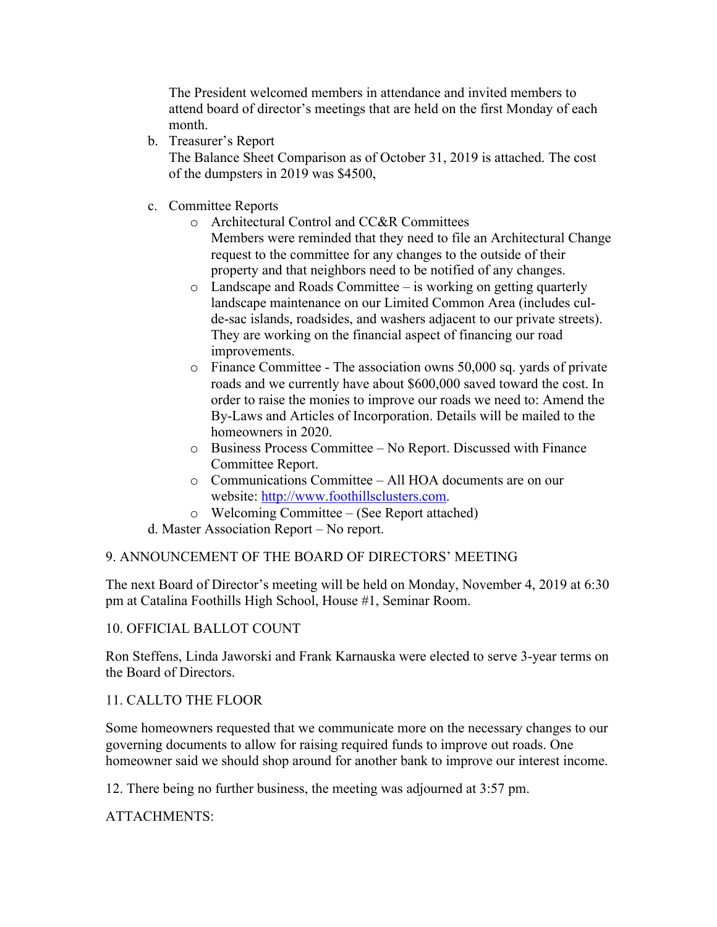The President welcomed members in attendance and invited members to attend board of director's meetings that are held on the first Monday of each month.

b. Treasurer's Report

The Balance Sheet Comparison as of October 31, 2019 is attached. The cost of the dumpsters in 2019 was \$4500,

- c. Committee Reports
	- o Architectural Control and CC&R Committees Members were reminded that they need to file an Architectural Change request to the committee for any changes to the outside of their property and that neighbors need to be notified of any changes.
	- o Landscape and Roads Committee is working on getting quarterly landscape maintenance on our Limited Common Area (includes culde-sac islands, roadsides, and washers adjacent to our private streets). They are working on the financial aspect of financing our road improvements.
	- o Finance Committee The association owns 50,000 sq. yards of private roads and we currently have about \$600,000 saved toward the cost. In order to raise the monies to improve our roads we need to: Amend the By-Laws and Articles of Incorporation. Details will be mailed to the homeowners in 2020.
	- o Business Process Committee No Report. Discussed with Finance Committee Report.
	- o Communications Committee All HOA documents are on our website: http://www.foothillsclusters.com.
	- o Welcoming Committee (See Report attached)

d. Master Association Report – No report.

# 9. ANNOUNCEMENT OF THE BOARD OF DIRECTORS' MEETING

The next Board of Director's meeting will be held on Monday, November 4, 2019 at 6:30 pm at Catalina Foothills High School, House #1, Seminar Room.

# 10. OFFICIAL BALLOT COUNT

Ron Steffens, Linda Jaworski and Frank Karnauska were elected to serve 3-year terms on the Board of Directors.

# 11. CALLTO THE FLOOR

Some homeowners requested that we communicate more on the necessary changes to our governing documents to allow for raising required funds to improve out roads. One homeowner said we should shop around for another bank to improve our interest income.

12. There being no further business, the meeting was adjourned at 3:57 pm.

ATTACHMENTS: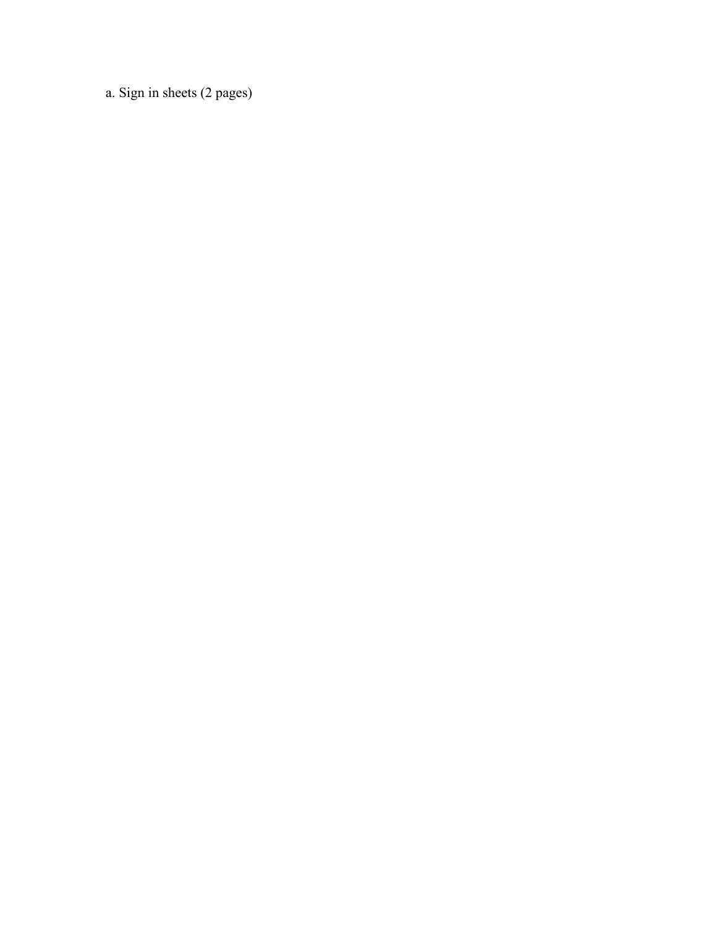a. Sign in sheets (2 pages)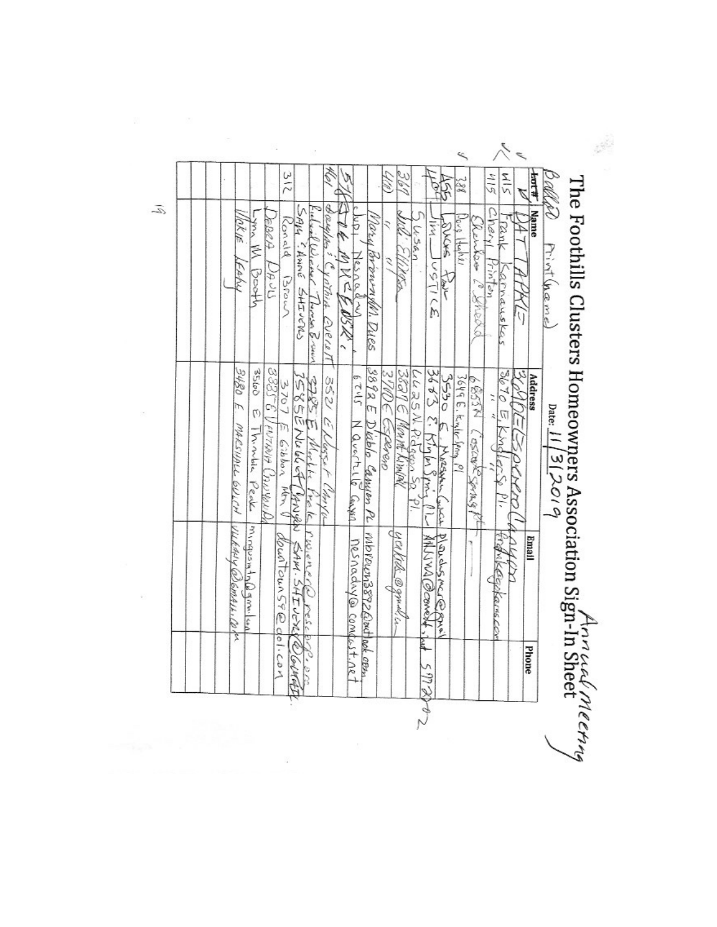|                                                  |                                                             |                                                          |                           | ≤                                         |                      |                        |                                                                    |
|--------------------------------------------------|-------------------------------------------------------------|----------------------------------------------------------|---------------------------|-------------------------------------------|----------------------|------------------------|--------------------------------------------------------------------|
|                                                  | 312                                                         |                                                          | 361                       | $\frac{2}{8}$                             | $\frac{1}{2}$<br>415 | बेस                    | ballad                                                             |
| $-36$<br>Yok ye<br><b>PD2A</b>                   | SAIL CANNE SHIVERS<br>Richard Wiewer Thomas Brown<br>Konald | ξ                                                        |                           | $\frac{1}{2}$                             | Chery<br>Tank        | Name                   |                                                                    |
| Ś                                                |                                                             | Mary Brownship Dyes                                      | しょこん                      | $0.68$ [techl]<br><b>SACKS</b>            | Renter C. Yher.      |                        |                                                                    |
| FAMY<br>Afooc)<br>たいじ                            | Brown                                                       |                                                          |                           | 3712505<br>スター                            | rintan               |                        | Print (hame)                                                       |
|                                                  | Vothin Everett                                              | MACE OSTA                                                |                           |                                           | arnauskas            | ij                     |                                                                    |
|                                                  |                                                             |                                                          |                           |                                           |                      |                        |                                                                    |
| 3480<br>$9 - 588e$<br>QQSSE                      | 3707                                                        | 3892 E<br>$51 - 29$<br>352                               | 3891E<br>LLESSN.<br>3 M/S | 368224<br>3530                            | 3670 E Knollers      | 3640<br><b>Address</b> | The Foothills Clusters Homeowners Association Sign-In Sheet Meetry |
| ŕ,<br>Ø                                          | <b>EXES</b><br>Ù,                                           |                                                          |                           |                                           |                      |                        |                                                                    |
|                                                  | こうどうこくいん<br>E Gibbon<br>Gerra F                             |                                                          | WOMPY WADD<br>CRAPA       | Solg E. Kinler Span <sub>a</sub> Pl<br>さき |                      |                        |                                                                    |
| しゃしびそ ピッムしゅん<br>MARCHALL GUILM<br>I Mindole Peak |                                                             | Navertie Gryss<br>Didolo Gausen PL Morowna892Godpod cenn |                           | MARSAAL                                   | BANZZACZOS NISB9     | BOCKD                  | Date: $11/3$ 2010                                                  |
|                                                  | Cher Vu<br>MM N<br>一体と安<br>4ح≤ (د                           |                                                          |                           | حنكناس                                    | ΡΙ.                  |                        |                                                                    |
| Vilkauy @Semari. Co fr<br>Mingusmin(b) gime. lea |                                                             |                                                          |                           |                                           |                      | Email                  |                                                                    |
|                                                  | l'Wienerla                                                  |                                                          |                           |                                           |                      |                        |                                                                    |
|                                                  | down Toun 59@ dol. com<br>SAM. SHIVER                       |                                                          | yerkthe @gmul.c.          | Plandsmare grow<br>Alling @conest, int    | Tignikeepkanscon     |                        |                                                                    |
|                                                  | لادلاد                                                      |                                                          |                           |                                           |                      |                        |                                                                    |
|                                                  | O Gratit                                                    | <u>Nesnadny@compust.ne</u>                               |                           |                                           |                      | Phone                  |                                                                    |
|                                                  |                                                             |                                                          |                           | 597800                                    |                      |                        |                                                                    |
|                                                  |                                                             |                                                          |                           |                                           |                      |                        |                                                                    |
|                                                  |                                                             |                                                          |                           |                                           |                      |                        |                                                                    |

Ĩ

 $\tilde{\mathcal{L}}$ 

 $\frac{3}{2}$ 

 $\overline{\mathcal{L}}$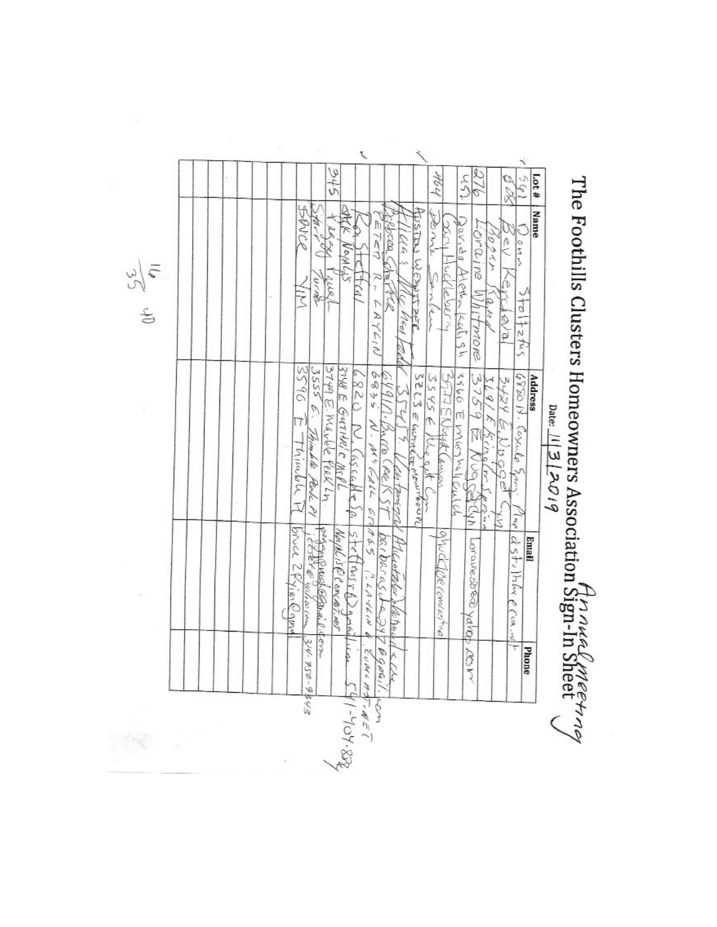The Foothills Clusters Homeowners Association  $\hat{H}_{12}^{n_1 n_2 n_4 n_5 n_6 n_7 n_8 n_8 n_9}$  and  $\frac{1}{\sqrt{12} 12^{O_1 q}}$ 

| 576<br>いし<br>ゆうぐん<br>ADSTEY WESTLEED<br>the nie<br>580/150<br>secce<br>L'Ora Ine<br>ETER<br>Ş<br>16,4<br>インドロン<br>e)<br>sn<br>Neyle<br>HUCKWORK<br>Alexandralish<br>i e V<br>Sanley<br>R r<br>N S R<br>ξŃ<br>Whitmore<br>1.62.49<br>rcieva<br>1212<br>UNGel<br>レンスタフ<br>3749 E. Maybe feek LN.<br>5550<br>3748 E GUTHR'C MCPL<br>3555 E<br>いことう<br>3560 E MGSYSILOULOS<br>6835<br>357775Nugg<br>3759<br>32 23 E GUT<br>35455<br>6880 N. Cosculo Spon<br>991<br>229<br>3424<br>17<br>$N$ . H = $\mathcal{L}_{d}/\mathcal{L}$<br>S<br>Thimble Peak PI<br>N<br>Mindele H<br>$\tilde{e}$<br>TEEF MOUNTHEO PL<br>$\vec{a}$<br>COSCOME<br>Š<br>cock (<br>anison<br>160<br>ă<br>24.9421.47<br>d<br>$\rightarrow$<br>Š<br>アスツ<br>29409<br>ìQ,<br>$\frac{d}{d}$<br>ζX<br>Bruce 2RimQama<br>$S$ trilling r (2) grass<br>peggyarakaganail dem<br>Naik is R Concast.net<br>ghuckspeconcerture<br>parbasidespy<br>d stollative e coning<br><b>Email</b><br>Parave 5080 yalat<br>isteler |                |     |     |    |     |  |               |  |            |  |  |  |  |
|----------------------------------------------------------------------------------------------------------------------------------------------------------------------------------------------------------------------------------------------------------------------------------------------------------------------------------------------------------------------------------------------------------------------------------------------------------------------------------------------------------------------------------------------------------------------------------------------------------------------------------------------------------------------------------------------------------------------------------------------------------------------------------------------------------------------------------------------------------------------------------------------------------------------------------------------------------------------------|----------------|-----|-----|----|-----|--|---------------|--|------------|--|--|--|--|
|                                                                                                                                                                                                                                                                                                                                                                                                                                                                                                                                                                                                                                                                                                                                                                                                                                                                                                                                                                            | $frac{4}{100}$ | 508 | 276 | いん | とらみ |  |               |  |            |  |  |  |  |
|                                                                                                                                                                                                                                                                                                                                                                                                                                                                                                                                                                                                                                                                                                                                                                                                                                                                                                                                                                            | Name           |     |     |    |     |  |               |  |            |  |  |  |  |
|                                                                                                                                                                                                                                                                                                                                                                                                                                                                                                                                                                                                                                                                                                                                                                                                                                                                                                                                                                            |                |     |     |    |     |  |               |  |            |  |  |  |  |
|                                                                                                                                                                                                                                                                                                                                                                                                                                                                                                                                                                                                                                                                                                                                                                                                                                                                                                                                                                            | <b>Address</b> |     |     |    |     |  |               |  |            |  |  |  |  |
|                                                                                                                                                                                                                                                                                                                                                                                                                                                                                                                                                                                                                                                                                                                                                                                                                                                                                                                                                                            |                |     |     |    |     |  |               |  |            |  |  |  |  |
|                                                                                                                                                                                                                                                                                                                                                                                                                                                                                                                                                                                                                                                                                                                                                                                                                                                                                                                                                                            |                |     |     |    |     |  |               |  |            |  |  |  |  |
| Verne                                                                                                                                                                                                                                                                                                                                                                                                                                                                                                                                                                                                                                                                                                                                                                                                                                                                                                                                                                      |                |     |     |    |     |  | $\frac{1}{2}$ |  | With a com |  |  |  |  |
| ふくき<br>Phone<br>$\delta$<br>$56 - 9545 - 55$                                                                                                                                                                                                                                                                                                                                                                                                                                                                                                                                                                                                                                                                                                                                                                                                                                                                                                                               |                |     |     |    |     |  |               |  |            |  |  |  |  |

 $\frac{25}{95}$ 

Ŷ.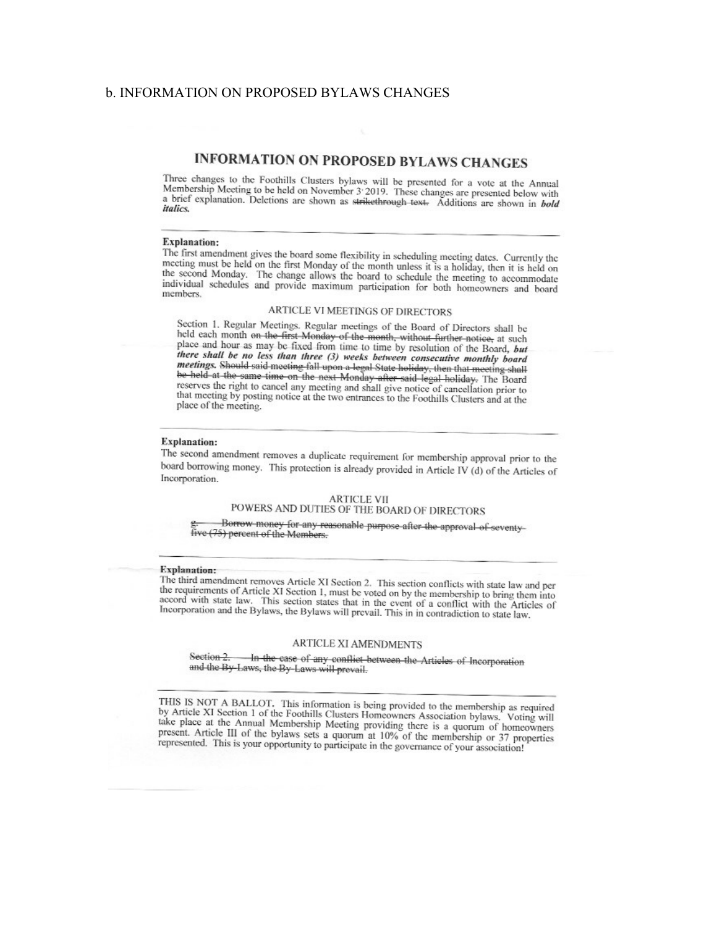# **b INFORMATION ON PROPOSED BYLAWS CHANGES**

# **INFORMATION ON PROPOSED BYLAWS CHANGES**

Three changes to the Foothills Clusters bylaws will be presented for a vote at the Annual Membership Meeting to be held on November 3:2019. These changes are presented below with a brief explanation. Deletions are shown as strikethrough text. Additions are shown in bold *italics.* 

## **Explanation:**

The first amendment gives the board some flexibility in scheduling meeting dates. Currently the meeting must be held on the first Monday of the month unless it is a holiday, then it is held on the second Monday. The change allows the board to schedule the meeting to accommodate individual schedules and provide maximum participation for both homeowners and board members.

### ARTICLE VI MEETINGS OF DIRECTORS

Section 1. Regular Meetings. Regular meetings of the Board of Directors shall be held each month on the first Monday of the month, without further notice, at such place and hour as may be fixed from time to time by resolution of the Board, but there shall be no less than three (3) weeks between consecutive monthly board meetings. Should said meeting fall upon a legal State holiday, then that meeting shall be held at the same time on the next Monday after said legal holiday. The Board reserves the right to cancel any meeting and shall give notice of cancellation prior to that meeting by posting notice at the two entrances to the Foothills Clusters and at the place of the meeting.

# **Explanation:**

The second amendment removes a duplicate requirement for membership approval prior to the board borrowing money. This protection is already provided in Article IV (d) of the Articles of Incorporation.

### **ARTICLE VII** POWERS AND DUTIES OF THE BOARD OF DIRECTORS

Borrow money for any reasonable purpose after the approval of seventy-

five (75) percent of the Members.

### **Explanation:**

The third amendment removes Article XI Section 2. This section conflicts with state law and per the requirements of Article XI Section 1, must be voted on by the membership to bring them into accord with state law. This section states that in the event of a conflict with the Articles of Incorporation and the Bylaws, the Bylaws will prevail. This in in contradiction to state law.

# ARTICLE XI AMENDMENTS

Section 2. -In the case of any conflict between the Articles of Incorporation and the By-Laws, the By-Laws will prevail.

THIS IS NOT A BALLOT. This information is being provided to the membership as required by Article XI Section 1 of the Foothills Clusters Homeowners Association bylaws. Voting will take place at the Annual Membership Meeting providing there is a quorum of homeowners present. Article III of the bylaws sets a quorum at 10% of the membership or 37 properties represented. This is your opportunity to participate in the governance of your association!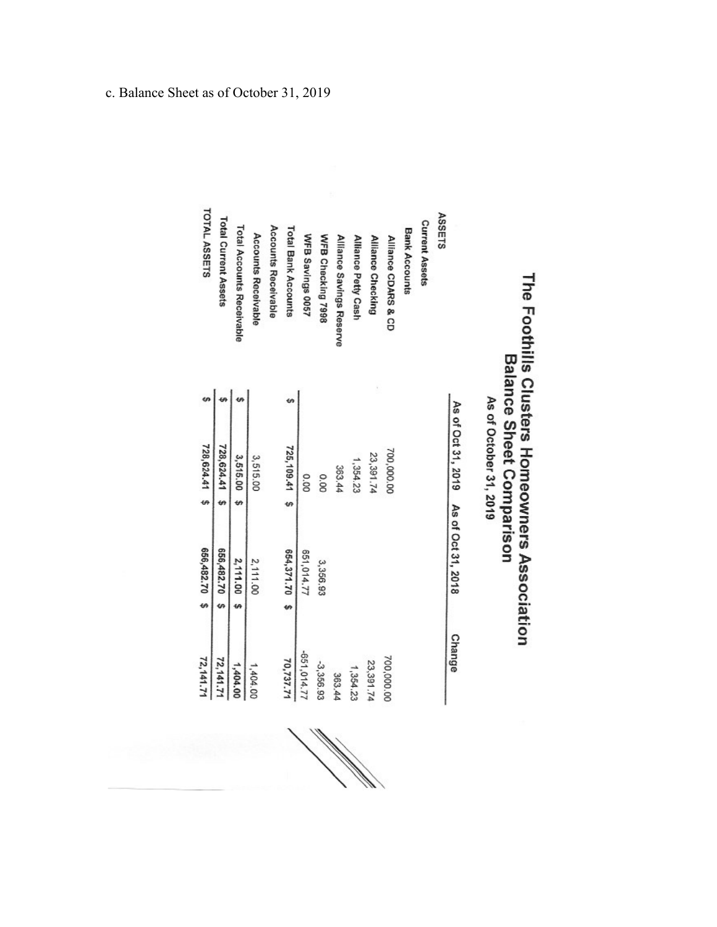# The Foothills Clusters Homeowners Association<br>Balance Sheet Comparison As of October 31, 2019

|                             | As of Oct 31, 2019 As of Oct 31, 2018 |   |               |    | <b>Change</b> |
|-----------------------------|---------------------------------------|---|---------------|----|---------------|
| <b>ASSETS</b>               |                                       |   |               |    |               |
| <b>Current Assets</b>       |                                       |   |               |    |               |
| <b>Bank Accounts</b>        |                                       |   |               |    |               |
| Alliance CDARS & CD         | 700,000.00                            |   |               |    | 700,000.00    |
| Alliance Checking           | 23,391.74                             |   |               |    | 23,391.74     |
| Alliance Petty Cash         | 1,354.23                              |   |               |    | 1,354.23      |
| Alliance Savings Reserve    | 363.44                                |   |               |    | 363.44        |
| WFB Checking 7998           | 0.00                                  |   | 3,356.93      |    | $-3,356.93$   |
| WFB Savings 0057            | 0.00                                  |   | 551,014.77    |    | -651,014.77   |
| <b>Total Bank Accounts</b>  | 725, 109.41 \$                        |   | 654,371.70 \$ |    | 70,737.71     |
| Accounts Receivable         |                                       |   |               |    |               |
| <b>Accounts Receivable</b>  | 3,515.00                              |   | 2,111.00      |    | 1,404.00      |
| Total Accounts Receivable   | 3,515.00                              | ø | 2,111.00      | ٤Ą | 1,404.00      |
| <b>Total Current Assets</b> | 728,624.41                            | m | 656,482.70 \$ |    | 72,141.71     |
| <b>TOTAL ASSETS</b>         | 728,624.41 \$                         |   | 656,482.70 \$ |    | 72,141.71     |

e de la calcada de la calcada de la calcada de la calcada de la calcada de la calcada de la calcada de la calcada de la calcada de la calcada de la calcada de la calcada de la calcada de la calcada de la calcada de la calc

c. Balance Sheet as of October 31, 2019